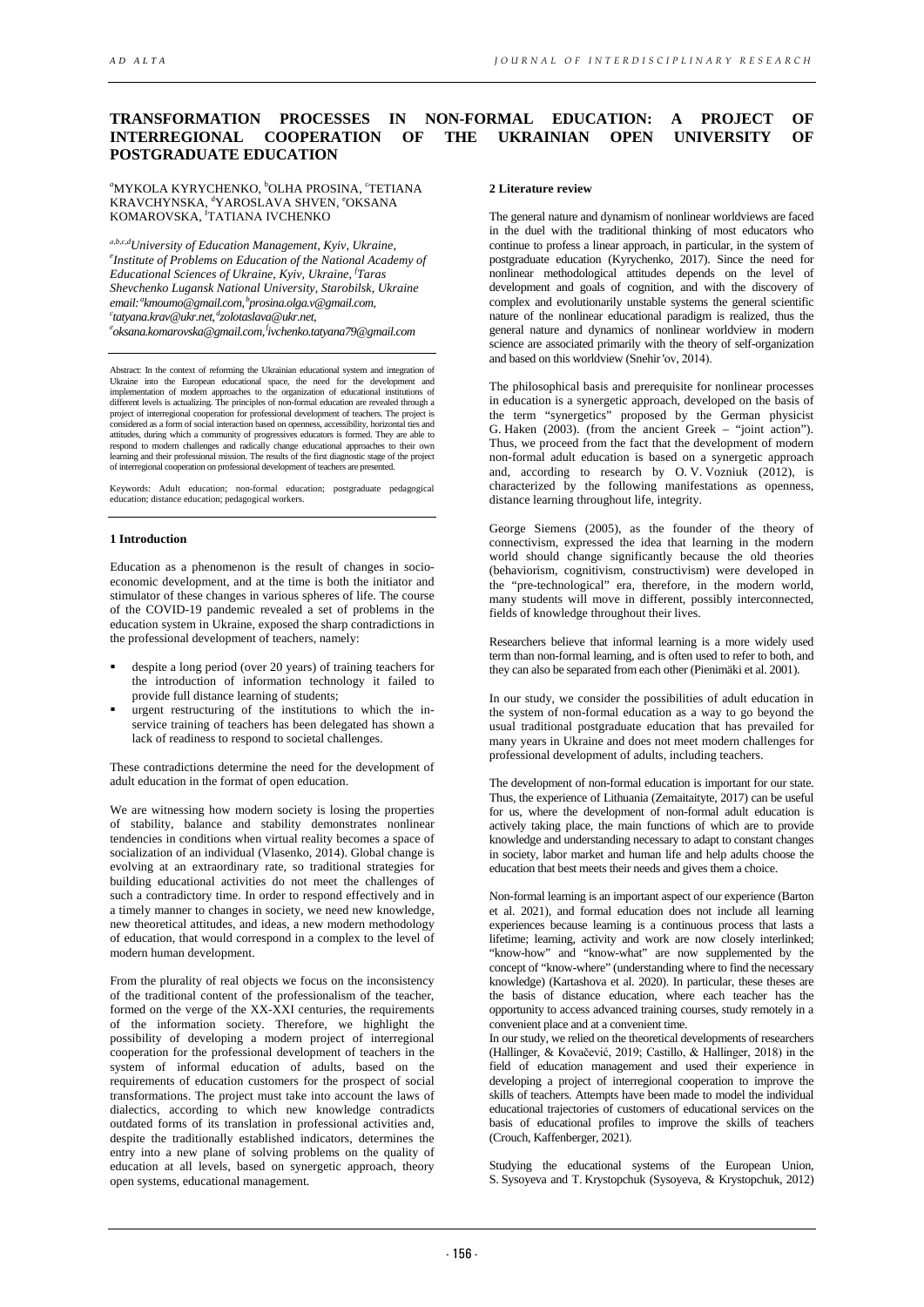# **TRANSFORMATION PROCESSES IN NON-FORMAL EDUCATION: A PROJECT OF INTERREGIONAL COOPERATION OF THE UKRAINIAN OPEN UNIVERSITY OF POSTGRADUATE EDUCATION**

#### "MYKOLA KYRYCHENKO, <sup>b</sup>OLHA PROSINA, °TETIANA KRAVCHYNSKA, <sup>d</sup>YAROSLAVA SHVEN, °OKSANA KOMAROVSKA, <sup>f</sup>TATIANA IVCHENKO

а,b,c,dUniversity of Education Management, Kyiv, Ukraine, *Institute of Problems on Education of the National Academy of Educational Sciences of Ukraine, Kyiv, Ukraine, <sup>f</sup> Taras email: Shevchenko Lugansk National University, Starobilsk, Ukraine akmoumo@gmail.com, bprosina.olga.v@gmail.com, c tatyana.krav@ukr.net, dzolotaslava@ukr.net, e [oksana.komarovska@gmail.com,](mailto:oksana.komarovska@gmail.com)  [fivchenko.tatyana79@gmail.com](mailto:ivchenko.tatyana79@gmail.com)* 

Abstract: In the context of reforming the Ukrainian educational system and integration of Ukraine into the European educational space, the need for the development and implementation of modern approaches to the organization of educational institutions of<br>different levels is actualizing. The principles of non-formal education are revealed through a<br>project of interregional cooperation for considered as a form of social interaction based on openness, accessibility, horizontal ties and attitudes, during which a community of progressives educators is formed. They are able to respond to modern challenges and radically change educational approaches to their own learning and their professional mission. The r

Keywords: Adult education; non-formal education; postgraduate pedagogical education; distance education; pedagogical workers.

#### **1 Introduction**

Education as a phenomenon is the result of changes in socioeconomic development, and at the time is both the initiator and stimulator of these changes in various spheres of life. The course of the COVID-19 pandemic revealed a set of problems in the education system in Ukraine, exposed the sharp contradictions in the professional development of teachers, namely:

- despite a long period (over 20 years) of training teachers for the introduction of information technology it failed to provide full distance learning of students;
- urgent restructuring of the institutions to which the inservice training of teachers has been delegated has shown a lack of readiness to respond to societal challenges.

These contradictions determine the need for the development of adult education in the format of open education.

We are witnessing how modern society is losing the properties of stability, balance and stability demonstrates nonlinear tendencies in conditions when virtual reality becomes a space of socialization of an individual (Vlasenko, 2014). Global change is evolving at an extraordinary rate, so traditional strategies for building educational activities do not meet the challenges of such a contradictory time. In order to respond effectively and in a timely manner to changes in society, we need new knowledge, new theoretical attitudes, and ideas, a new modern methodology of education, that would correspond in a complex to the level of modern human development.

From the plurality of real objects we focus on the inconsistency of the traditional content of the professionalism of the teacher, formed on the verge of the XX-XXI centuries, the requirements of the information society. Therefore, we highlight the possibility of developing a modern project of interregional cooperation for the professional development of teachers in the system of informal education of adults, based on the requirements of education customers for the prospect of social transformations. The project must take into account the laws of dialectics, according to which new knowledge contradicts outdated forms of its translation in professional activities and, despite the traditionally established indicators, determines the entry into a new plane of solving problems on the quality of education at all levels, based on synergetic approach, theory open systems, educational management.

#### **2 Literature review**

The general nature and dynamism of nonlinear worldviews are faced in the duel with the traditional thinking of most educators who continue to profess a linear approach, in particular, in the system of postgraduate education (Kyrychenko, 2017). Since the need for nonlinear methodological attitudes depends on the level of development and goals of cognition, and with the discovery of complex and evolutionarily unstable systems the general scientific nature of the nonlinear educational paradigm is realized, thus the general nature and dynamics of nonlinear worldview in modern science are associated primarily with the theory of self-organization and based on this worldview (Snehir'ov, 2014).

The philosophical basis and prerequisite for nonlinear processes in education is a synergetic approach, developed on the basis of the term "synergetics" proposed by the German physicist G. Haken (2003). (from the ancient Greek – "joint action"). Thus, we proceed from the fact that the development of modern non-formal adult education is based on a synergetic approach and, according to research by O. V. Vozniuk (2012), is characterized by the following manifestations as openness, distance learning throughout life, integrity.

George Siemens (2005), as the founder of the theory of connectivism, expressed the idea that learning in the modern world should change significantly because the old theories (behaviorism, cognitivism, constructivism) were developed in the "pre-technological" era, therefore, in the modern world, many students will move in different, possibly interconnected, fields of knowledge throughout their lives.

Researchers believe that informal learning is a more widely used term than non-formal learning, and is often used to refer to both, and they can also be separated from each other (Pienimäki et al. 2001).

In our study, we consider the possibilities of adult education in the system of non-formal education as a way to go beyond the usual traditional postgraduate education that has prevailed for many years in Ukraine and does not meet modern challenges for professional development of adults, including teachers.

The development of non-formal education is important for our state. Thus, the experience of Lithuania (Zemaitaityte, 2017) can be useful for us, where the development of non-formal adult education is actively taking place, the main functions of which are to provide knowledge and understanding necessary to adapt to constant changes in society, labor market and human life and help adults choose the education that best meets their needs and gives them a choice.

Non-formal learning is an important aspect of our experience (Barton et al. 2021), and formal education does not include all learning experiences because learning is a continuous process that lasts a lifetime; learning, activity and work are now closely interlinked; "know-how" and "know-what" are now supplemented by the concept of "know-where" (understanding where to find the necessary knowledge) (Kartashova et al. 2020). In particular, these theses are the basis of distance education, where each teacher has the opportunity to access advanced training courses, study remotely in a convenient place and at a convenient time.

In our study, we relied on the theoretical developments of researchers (Hallinger, & Kovačević, 2019; Castillo, & Hallinger, 2018) in the field of education management and used their experience in developing a project of interregional cooperation to improve the skills of teachers. Attempts have been made to model the individual educational trajectories of customers of educational services on the basis of educational profiles to improve the skills of teachers (Crouch, Kaffenberger, 2021).

Studying the educational systems of the European Union, S. Sysoyeva and T. Krystopchuk (Sysoyeva, & Krystopchuk, 2012)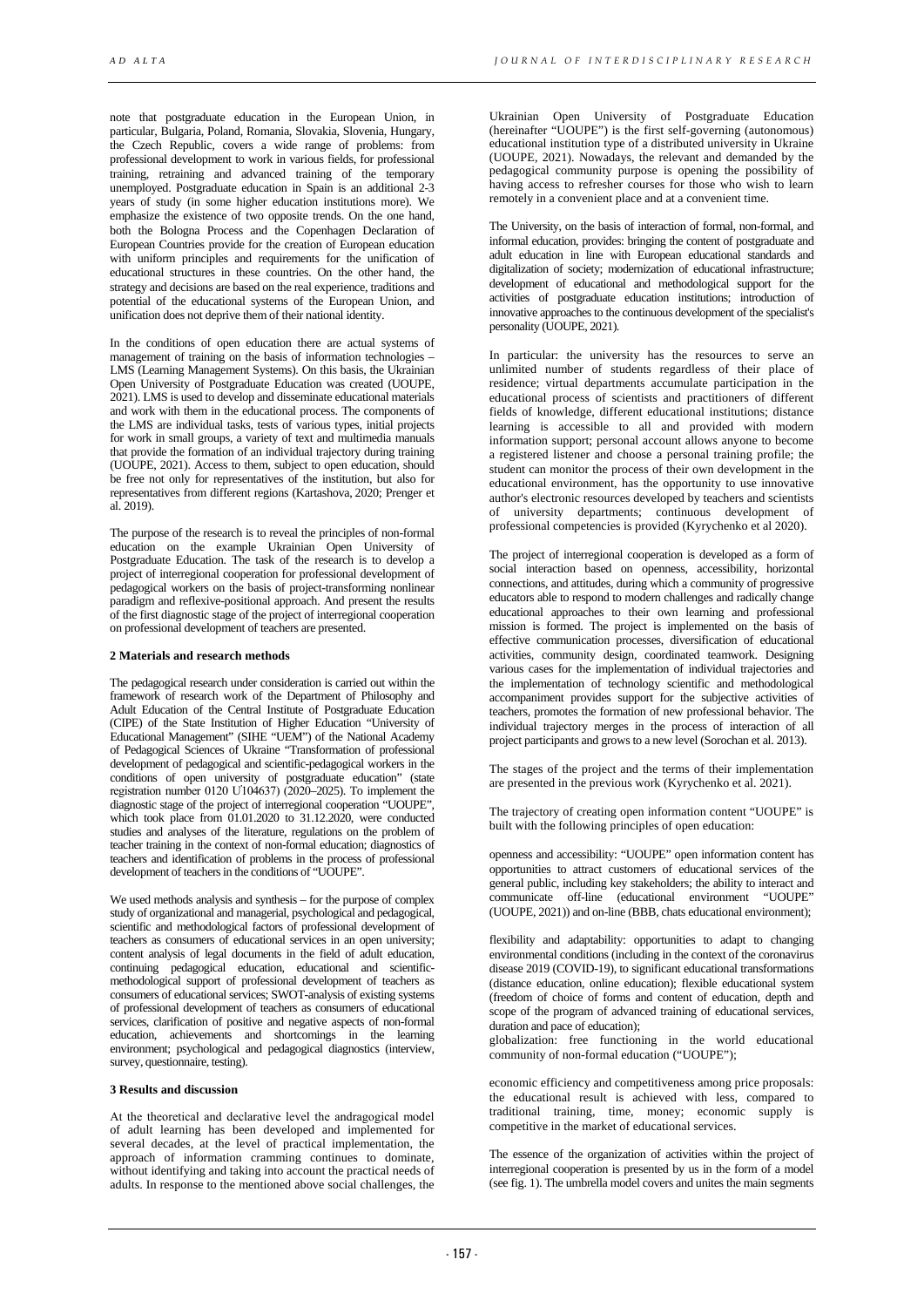note that postgraduate education in the European Union, in particular, Bulgaria, Poland, Romania, Slovakia, Slovenia, Hungary, the Czech Republic, covers a wide range of problems: from professional development to work in various fields, for professional training, retraining and advanced training of the temporary unemployed. Postgraduate education in Spain is an additional 2-3 years of study (in some higher education institutions more). We emphasize the existence of two opposite trends. On the one hand, both the Bologna Process and the Copenhagen Declaration of European Countries provide for the creation of European education with uniform principles and requirements for the unification of educational structures in these countries. On the other hand, the strategy and decisions are based on the real experience, traditions and potential of the educational systems of the European Union, and unification does not deprive them of their national identity.

In the conditions of open education there are actual systems of management of training on the basis of information technologies – LMS (Learning Management Systems). On this basis, the Ukrainian Open University of Postgraduate Education was created (UOUPE, 2021). LMS is used to develop and disseminate educational materials and work with them in the educational process. The components of the LMS are individual tasks, tests of various types, initial projects for work in small groups, a variety of text and multimedia manuals that provide the formation of an individual trajectory during training (UOUPE, 2021). Access to them, subject to open education, should be free not only for representatives of the institution, but also for representatives from different regions (Kartashova, 2020; Prenger et al.  $2019$ 

The purpose of the research is to reveal the principles of non-formal education on the example Ukrainian Open University of Postgraduate Education. The task of the research is to develop a project of interregional cooperation for professional development of pedagogical workers on the basis of project-transforming nonlinear paradigm and reflexive-positional approach. And present the results of the first diagnostic stage of the project of interregional cooperation on professional development of teachers are presented.

# **2 Materials and research methods**

The pedagogical research under consideration is carried out within the framework of research work of the Department of Philosophy and Adult Education of the Central Institute of Postgraduate Education (CIPE) of the State Institution of Higher Education "University of Educational Management" (SIHE "UEM") of the National Academy of Pedagogical Sciences of Ukraine "Transformation of professional development of pedagogical and scientific-pedagogical workers in the conditions of open university of postgraduate education" (state registration number 0120 Ư104637) (2020–2025). To implement the diagnostic stage of the project of interregional cooperation "UOUPE", which took place from 01.01.2020 to 31.12.2020, were conducted studies and analyses of the literature, regulations on the problem of teacher training in the context of non-formal education; diagnostics of teachers and identification of problems in the process of professional development of teachers in the conditions of "UOUPE".

We used methods analysis and synthesis – for the purpose of complex study of organizational and managerial, psychological and pedagogical, scientific and methodological factors of professional development of teachers as consumers of educational services in an open university; content analysis of legal documents in the field of adult education, continuing pedagogical education, educational and scientificmethodological support of professional development of teachers as consumers of educational services; SWOT-analysis of existing systems of professional development of teachers as consumers of educational services, clarification of positive and negative aspects of non-formal education, achievements and shortcomings in the learning environment; psychological and pedagogical diagnostics (interview, survey, questionnaire, testing).

#### **3 Results and discussion**

Аt the theoretical and declarative level the andragogical model of adult learning has been developed and implemented for several decades, at the level of practical implementation, the approach of information cramming continues to dominate, without identifying and taking into account the practical needs of adults. In response to the mentioned above social challenges, the

Ukrainian Open University of Postgraduate Education (hereinafter "UOUPE") is the first self-governing (autonomous) educational institution type of a distributed university in Ukraine (UOUPE, 2021). Nowadays, the relevant and demanded by the pedagogical community purpose is opening the possibility of having access to refresher courses for those who wish to learn remotely in a convenient place and at a convenient time.

The University, on the basis of interaction of formal, non-formal, and informal education, provides: bringing the content of postgraduate and adult education in line with European educational standards and digitalization of society; modernization of educational infrastructure; development of educational and methodological support for the activities of postgraduate education institutions; introduction of innovative approaches to the continuous development of the specialist's personality (UOUPE, 2021).

In particular: the university has the resources to serve an unlimited number of students regardless of their place of residence; virtual departments accumulate participation in the educational process of scientists and practitioners of different fields of knowledge, different educational institutions; distance learning is accessible to all and provided with modern information support; personal account allows anyone to become a registered listener and choose a personal training profile; the student can monitor the process of their own development in the educational environment, has the opportunity to use innovative author's electronic resources developed by teachers and scientists of university departments; continuous development of professional competencies is provided (Kyrychenko et al 2020).

The project of interregional cooperation is developed as a form of social interaction based on openness, accessibility, horizontal connections, and attitudes, during which a community of progressive educators able to respond to modern challenges and radically change educational approaches to their own learning and professional mission is formed. The project is implemented on the basis of effective communication processes, diversification of educational activities, community design, coordinated teamwork. Designing various cases for the implementation of individual trajectories and the implementation of technology scientific and methodological accompaniment provides support for the subjective activities of teachers, promotes the formation of new professional behavior. The individual trajectory merges in the process of interaction of all project participants and grows to a new level (Sorochan et al. 2013).

The stages of the project and the terms of their implementation are presented in the previous work (Kyrychenko et al. 2021).

The trajectory of creating open information content "UOUPE" is built with the following principles of open education:

openness and accessibility: "UOUPE" open information content has opportunities to attract customers of educational services of the general public, including key stakeholders; the ability to interact and communicate off-line (educational environment "UOUPE" (UOUPE, 2021)) and on-line (BBB, chats educational environment);

flexibility and adaptability: opportunities to adapt to changing environmental conditions (including in the context of the coronavirus disease 2019 (COVID-19), to significant educational transformations (distance education, online education); flexible educational system (freedom of choice of forms and content of education, depth and scope of the program of advanced training of educational services, duration and pace of education);

globalization: free functioning in the world educational community of non-formal education ("UOUPE");

economic efficiency and competitiveness among price proposals: the educational result is achieved with less, compared to traditional training, time, money; economic supply is competitive in the market of educational services.

The essence of the organization of activities within the project of interregional cooperation is presented by us in the form of a model (see fig. 1). The umbrella model covers and unites the main segments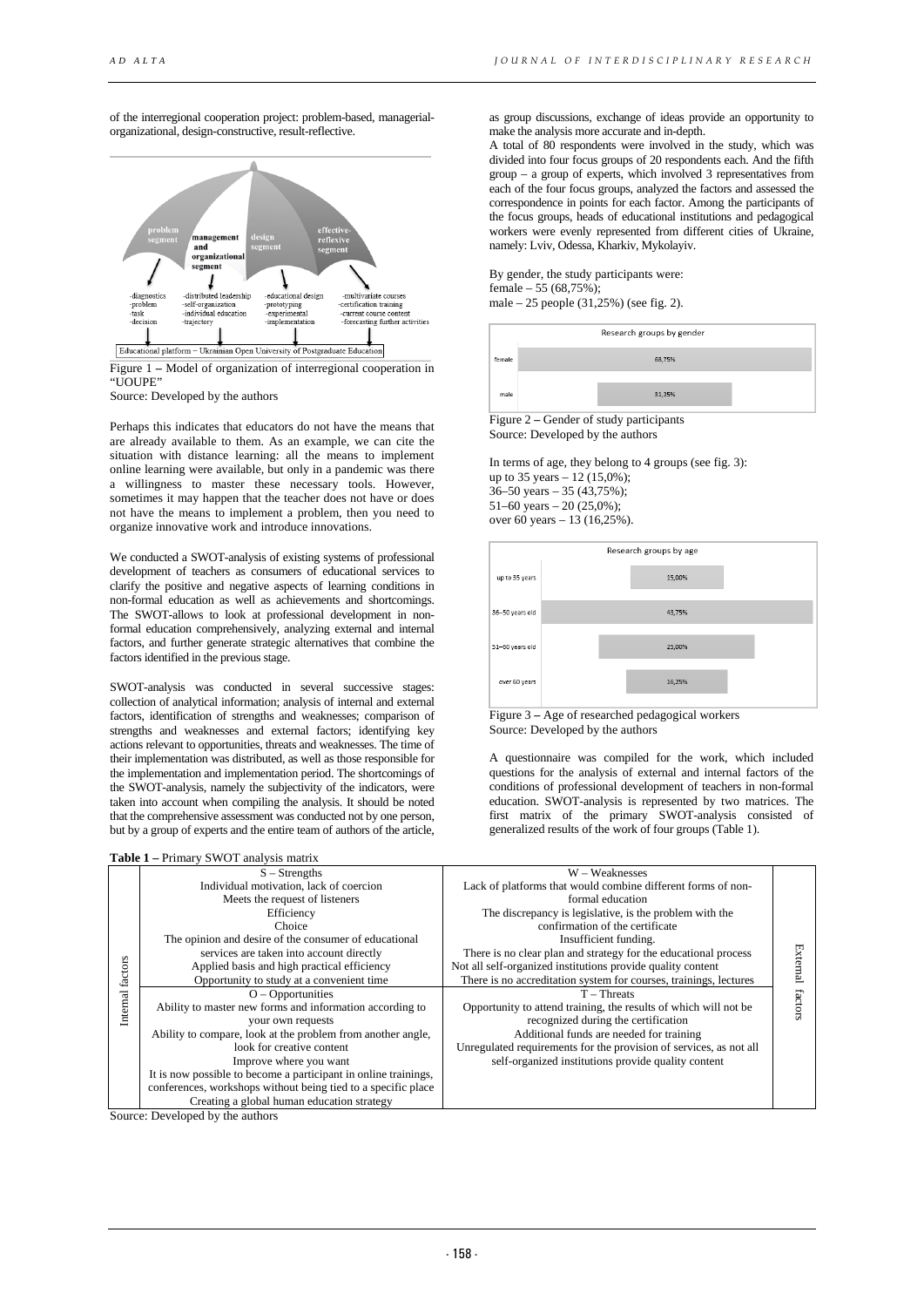of the interregional cooperation project: problem-based, managerialorganizational, design-constructive, result-reflective.



Figure 1 **–** Model of organization of interregional cooperation in "UOUPE"

Source: Developed by the authors

Perhaps this indicates that educators do not have the means that are already available to them. As an example, we can cite the situation with distance learning: all the means to implement online learning were available, but only in a pandemic was there a willingness to master these necessary tools. However, sometimes it may happen that the teacher does not have or does not have the means to implement a problem, then you need to organize innovative work and introduce innovations.

We conducted a SWOT-analysis of existing systems of professional development of teachers as consumers of educational services to clarify the positive and negative aspects of learning conditions in non-formal education as well as achievements and shortcomings. The SWOT-allows to look at professional development in nonformal education comprehensively, analyzing external and internal factors, and further generate strategic alternatives that combine the factors identified in the previous stage.

SWOT-analysis was conducted in several successive stages: collection of analytical information; analysis of internal and external factors, identification of strengths and weaknesses; comparison of strengths and weaknesses and external factors; identifying key actions relevant to opportunities, threats and weaknesses. The time of their implementation was distributed, as well as those responsible for the implementation and implementation period. The shortcomings of the SWOT-analysis, namely the subjectivity of the indicators, were taken into account when compiling the analysis. It should be noted that the comprehensive assessment was conducted not by one person, but by a group of experts and the entire team of authors of the article,

| Table 1 - Primary SWOT analysis matrix |  |  |
|----------------------------------------|--|--|
|                                        |  |  |

as group discussions, exchange of ideas provide an opportunity to make the analysis more accurate and in-depth.

A total of 80 respondents were involved in the study, which was divided into four focus groups of 20 respondents each. And the fifth group – a group of experts, which involved 3 representatives from each of the four focus groups, analyzed the factors and assessed the correspondence in points for each factor. Among the participants of the focus groups, heads of educational institutions and pedagogical workers were evenly represented from different cities of Ukraine, namely: Lviv, Odessa, Kharkiv, Mykolayiv.

By gender, the study participants were: female – 55  $(68.75\%)$ ; male – 25 people (31,25%) (see fig. 2).

|        | Research groups by gender              |
|--------|----------------------------------------|
| female | 68,75%                                 |
| male   | 31,25%                                 |
|        | Eigura 2. Candor of study portioinants |

Figure 2 **–** Gender of study participants Source: Developed by the authors

In terms of age, they belong to 4 groups (see fig. 3): up to 35 years – 12 (15,0%); 36–50 years – 35 (43,75%); 51–60 years – 20  $(25,0\%)$ ; over 60 years – 13 (16,25%).



Figure 3 **–** Age of researched pedagogical workers Source: Developed by the authors

A questionnaire was compiled for the work, which included questions for the analysis of external and internal factors of the conditions of professional development of teachers in non-formal education. SWOT-analysis is represented by two matrices. The first matrix of the primary SWOT-analysis consisted of generalized results of the work of four groups (Table 1).

|          | <b>Table 1 – Primary SWOT analysis matrix</b>                   |                                                                    |          |
|----------|-----------------------------------------------------------------|--------------------------------------------------------------------|----------|
|          | $S -$ Strengths                                                 | W – Weaknesses                                                     |          |
|          | Individual motivation, lack of coercion                         | Lack of platforms that would combine different forms of non-       |          |
|          | Meets the request of listeners                                  | formal education                                                   |          |
|          | Efficiency                                                      | The discrepancy is legislative, is the problem with the            |          |
|          | Choice                                                          | confirmation of the certificate                                    |          |
|          | The opinion and desire of the consumer of educational           | Insufficient funding.                                              |          |
|          | services are taken into account directly                        | There is no clear plan and strategy for the educational process    |          |
|          | Applied basis and high practical efficiency                     | Not all self-organized institutions provide quality content        | External |
| factors  | Opportunity to study at a convenient time                       | There is no accreditation system for courses, trainings, lectures  |          |
|          | $O -$ Opportunities                                             | $T - Threats$                                                      |          |
| Internal | Ability to master new forms and information according to        | Opportunity to attend training, the results of which will not be   | factors  |
|          | your own requests                                               | recognized during the certification                                |          |
|          | Ability to compare, look at the problem from another angle,     | Additional funds are needed for training                           |          |
|          | look for creative content                                       | Unregulated requirements for the provision of services, as not all |          |
|          | Improve where you want                                          | self-organized institutions provide quality content                |          |
|          | It is now possible to become a participant in online trainings, |                                                                    |          |
|          | conferences, workshops without being tied to a specific place   |                                                                    |          |
|          | Creating a global human education strategy                      |                                                                    |          |

Source: Developed by the authors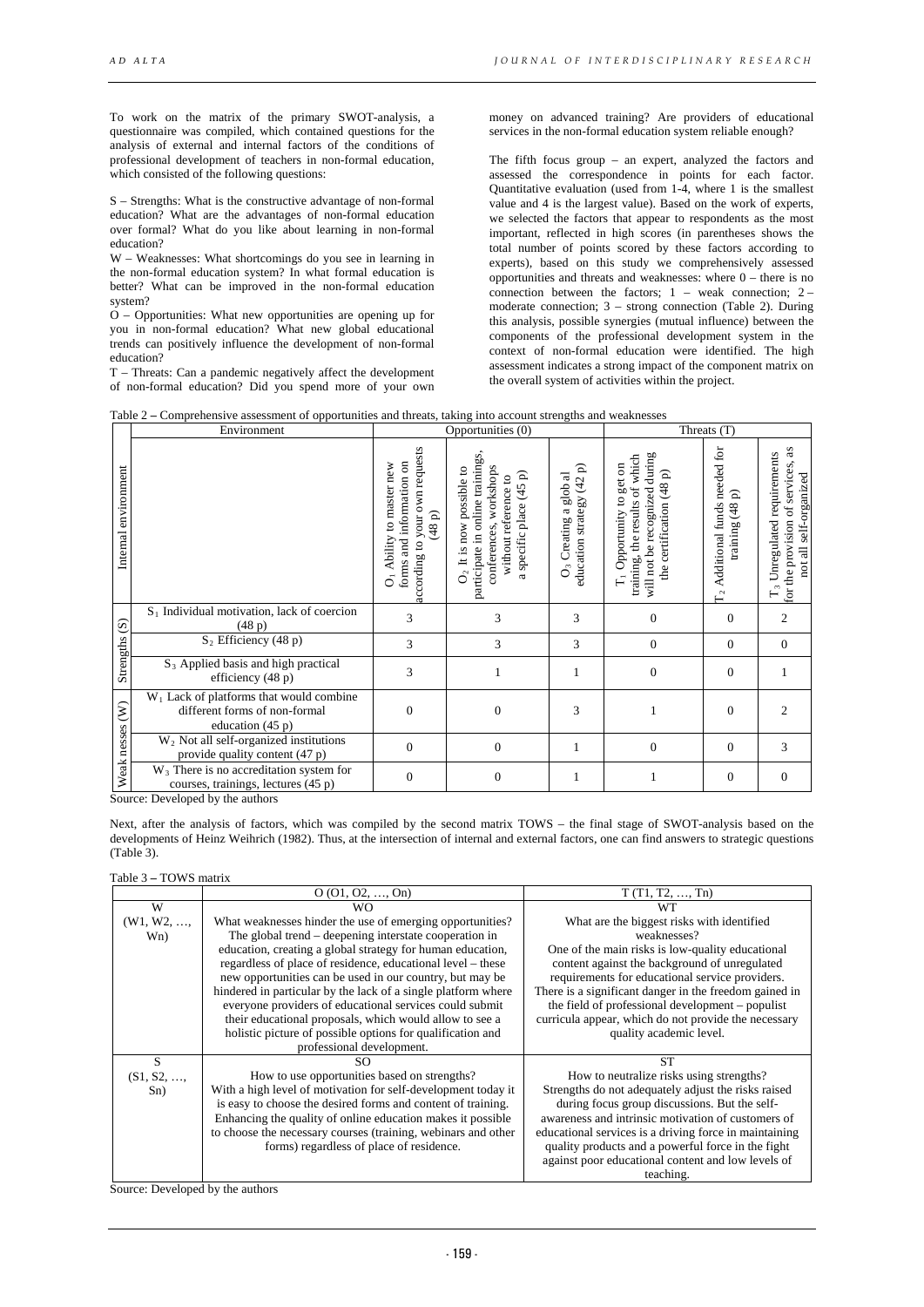To work on the matrix of the primary SWOT-analysis, a questionnaire was compiled, which contained questions for the analysis of external and internal factors of the conditions of professional development of teachers in non-formal education, which consisted of the following questions:

S – Strengths: What is the constructive advantage of non-formal education? What are the advantages of non-formal education over formal? What do you like about learning in non-formal education?

W – Weaknesses: What shortcomings do you see in learning in the non-formal education system? In what formal education is better? What can be improved in the non-formal education system?

O – Opportunities: What new opportunities are opening up for you in non-formal education? What new global educational trends can positively influence the development of non-formal education?

T – Threats: Can a pandemic negatively affect the development of non-formal education? Did you spend more of your own money on advanced training? Are providers of educational services in the non-formal education system reliable enough?

The fifth focus group – an expert, analyzed the factors and assessed the correspondence in points for each factor. Quantitative evaluation (used from 1-4, where 1 is the smallest value and 4 is the largest value). Based on the work of experts, we selected the factors that appear to respondents as the most important, reflected in high scores (in parentheses shows the total number of points scored by these factors according to experts), based on this study we comprehensively assessed opportunities and threats and weaknesses: where 0 – there is no connection between the factors;  $1 -$  weak connection;  $2$ moderate connection; 3 – strong connection (Table 2). During this analysis, possible synergies (mutual influence) between the components of the professional development system in the context of non-formal education were identified. The high assessment indicates a strong impact of the component matrix on the overall system of activities within the project.

|  |  |  |  |  | Table 2 – Comprehensive assessment of opportunities and threats, taking into account strengths and weaknesses |  |
|--|--|--|--|--|---------------------------------------------------------------------------------------------------------------|--|
|--|--|--|--|--|---------------------------------------------------------------------------------------------------------------|--|

|                         | Environment                                                                                       |                                                                                                                     | Opportunities (0)                                                                                                                                           |                                                                | Threats (T)                                                                                                                         |                                                                       |                                                                                                                        |
|-------------------------|---------------------------------------------------------------------------------------------------|---------------------------------------------------------------------------------------------------------------------|-------------------------------------------------------------------------------------------------------------------------------------------------------------|----------------------------------------------------------------|-------------------------------------------------------------------------------------------------------------------------------------|-----------------------------------------------------------------------|------------------------------------------------------------------------------------------------------------------------|
| environment<br>Internal |                                                                                                   | according to your own requests<br>forms and information on<br>to master new<br>$(48p)$<br>Ability<br>$\overline{O}$ | participate in online trainings,<br>workshops<br>It is now possible to<br>a specific place (45 p)<br>without reference to<br>conferences,<br>$\mathsf{O}_2$ | education strategy (42 p)<br>O <sub>3</sub> Creating a glob al | will not be recognized during<br>training, the results of which<br>T <sub>1</sub> Opportunity to get on<br>the certification (48 p) | needed for<br>≏<br>Additional funds<br>(48)<br>training<br>$\Gamma_2$ | as<br>Unregulated requirements<br>for the provision of services,<br>not all self-organized<br>$\overline{\mathcal{C}}$ |
| $\widehat{S}$           | $S_1$ Individual motivation, lack of coercion<br>(48p)                                            | 3                                                                                                                   | 3                                                                                                                                                           | 3                                                              | $\Omega$                                                                                                                            | $\overline{0}$                                                        | $\overline{c}$                                                                                                         |
|                         | $S_2$ Efficiency (48 p)                                                                           | 3                                                                                                                   | 3                                                                                                                                                           | 3                                                              | $\Omega$                                                                                                                            | 0                                                                     | $\Omega$                                                                                                               |
| Strengths               | $S_3$ Applied basis and high practical<br>efficiency (48 p)                                       | 3                                                                                                                   |                                                                                                                                                             |                                                                | $\Omega$                                                                                                                            | $\overline{0}$                                                        |                                                                                                                        |
| $\widehat{\epsilon}$    | $W_1$ Lack of platforms that would combine<br>different forms of non-formal<br>education $(45 p)$ | $\theta$                                                                                                            | $\Omega$                                                                                                                                                    | 3                                                              |                                                                                                                                     | $\overline{0}$                                                        |                                                                                                                        |
| nesses                  | W <sub>2</sub> Not all self-organized institutions<br>provide quality content (47 p)              | $\theta$                                                                                                            | $\overline{0}$                                                                                                                                              |                                                                | $\overline{0}$                                                                                                                      | $\overline{0}$                                                        | 3                                                                                                                      |
| Weak                    | $W_3$ There is no accreditation system for<br>courses, trainings, lectures (45 p)                 | $\mathbf{0}$                                                                                                        | $\overline{0}$                                                                                                                                              |                                                                |                                                                                                                                     | $\overline{0}$                                                        | $\mathbf{0}$                                                                                                           |

Source: Developed by the authors

Next, after the analysis of factors, which was compiled by the second matrix TOWS – the final stage of SWOT-analysis based on the developments of Heinz Weihrich (1982). Thus, at the intersection of internal and external factors, one can find answers to strategic questions (Table 3).

#### Table 3 **–** TOWS matrix

|            | O(01, 02, , 0n)                                               | T(T1, T2, , Tn)                                        |
|------------|---------------------------------------------------------------|--------------------------------------------------------|
| W          | WΟ                                                            | <b>WT</b>                                              |
| (W1, W2, , | What weaknesses hinder the use of emerging opportunities?     | What are the biggest risks with identified             |
| Wn)        | The global trend – deepening interstate cooperation in        | weaknesses?                                            |
|            | education, creating a global strategy for human education,    | One of the main risks is low-quality educational       |
|            | regardless of place of residence, educational level – these   | content against the background of unregulated          |
|            | new opportunities can be used in our country, but may be      | requirements for educational service providers.        |
|            | hindered in particular by the lack of a single platform where | There is a significant danger in the freedom gained in |
|            | everyone providers of educational services could submit       | the field of professional development – populist       |
|            | their educational proposals, which would allow to see a       | curricula appear, which do not provide the necessary   |
|            | holistic picture of possible options for qualification and    | quality academic level.                                |
|            | professional development.                                     |                                                        |
| S          | SO.                                                           | ST                                                     |
| (S1, S2, , | How to use opportunities based on strengths?                  | How to neutralize risks using strengths?               |
| Sn)        | With a high level of motivation for self-development today it | Strengths do not adequately adjust the risks raised    |
|            | is easy to choose the desired forms and content of training.  | during focus group discussions. But the self-          |
|            | Enhancing the quality of online education makes it possible.  | awareness and intrinsic motivation of customers of     |
|            | to choose the necessary courses (training, webinars and other | educational services is a driving force in maintaining |
|            | forms) regardless of place of residence.                      | quality products and a powerful force in the fight     |
|            |                                                               | against poor educational content and low levels of     |
|            |                                                               | teaching.                                              |

Source: Developed by the authors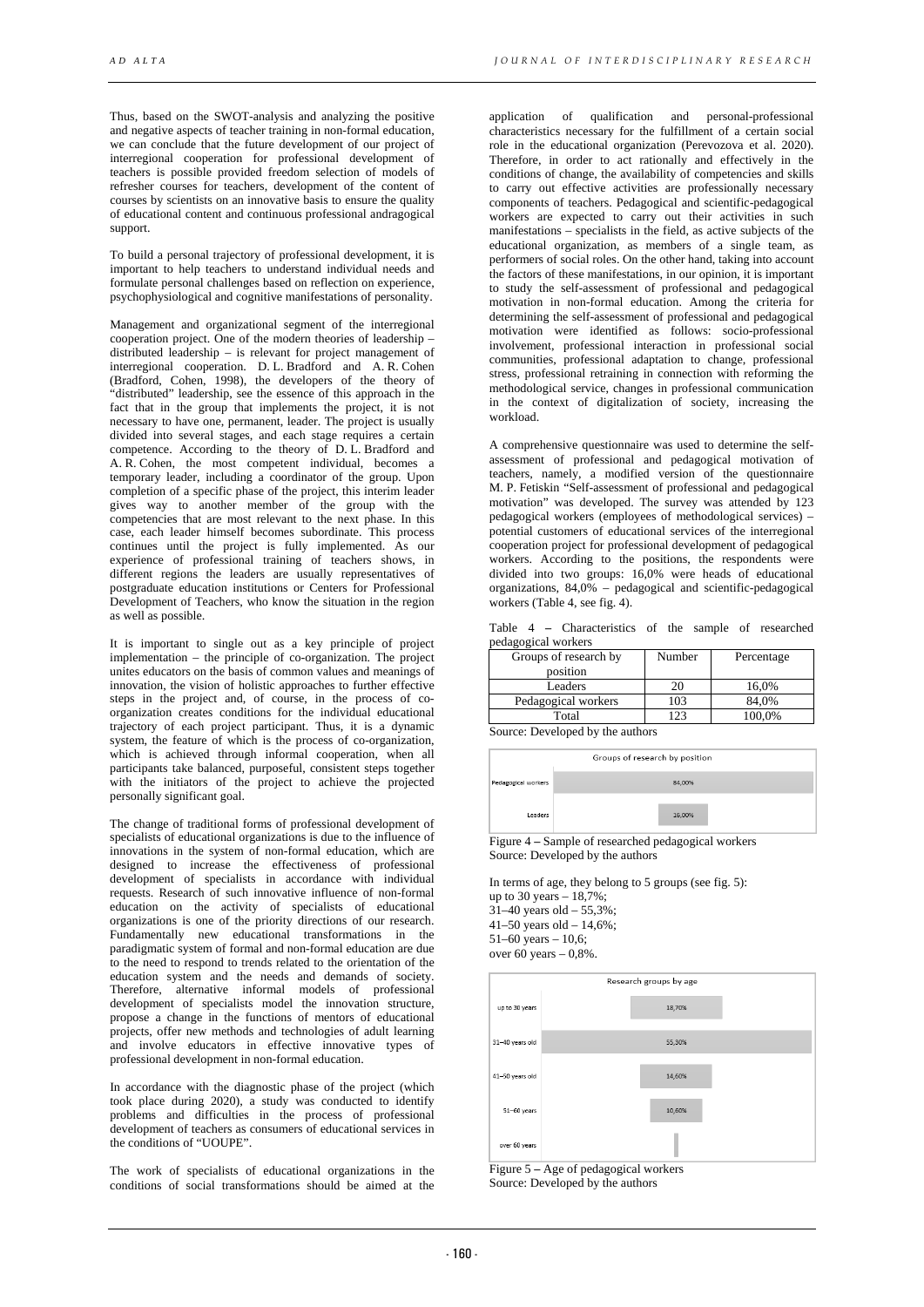Thus, based on the SWOT-analysis and analyzing the positive and negative aspects of teacher training in non-formal education, we can conclude that the future development of our project of interregional cooperation for professional development of teachers is possible provided freedom selection of models of refresher courses for teachers, development of the content of courses by scientists on an innovative basis to ensure the quality of educational content and continuous professional andragogical support.

To build a personal trajectory of professional development, it is important to help teachers to understand individual needs and formulate personal challenges based on reflection on experience, psychophysiological and cognitive manifestations of personality.

Management and organizational segment of the interregional cooperation project. One of the modern theories of leadership – distributed leadership – is relevant for project management of interregional cooperation. D. L. Bradford and A. R. Cohen (Bradford, Cohen, 1998), the developers of the theory of "distributed" leadership, see the essence of this approach in the fact that in the group that implements the project, it is not necessary to have one, permanent, leader. The project is usually divided into several stages, and each stage requires a certain competence. According to the theory of D. L. Bradford and A. R. Cohen, the most competent individual, becomes a temporary leader, including a coordinator of the group. Upon completion of a specific phase of the project, this interim leader gives way to another member of the group with the competencies that are most relevant to the next phase. In this case, each leader himself becomes subordinate. This process continues until the project is fully implemented. As our experience of professional training of teachers shows, in different regions the leaders are usually representatives of postgraduate education institutions or Centers for Professional Development of Teachers, who know the situation in the region as well as possible.

It is important to single out as a key principle of project implementation – the principle of co-organization. The project unites educators on the basis of common values and meanings of innovation, the vision of holistic approaches to further effective steps in the project and, of course, in the process of coorganization creates conditions for the individual educational trajectory of each project participant. Thus, it is a dynamic system, the feature of which is the process of co-organization, which is achieved through informal cooperation, when all participants take balanced, purposeful, consistent steps together with the initiators of the project to achieve the projected personally significant goal.

The change of traditional forms of professional development of specialists of educational organizations is due to the influence of innovations in the system of non-formal education, which are designed to increase the effectiveness of professional development of specialists in accordance with individual requests. Research of such innovative influence of non-formal education on the activity of specialists of educational organizations is one of the priority directions of our research. Fundamentally new educational transformations in the paradigmatic system of formal and non-formal education are due to the need to respond to trends related to the orientation of the education system and the needs and demands of society. Therefore, alternative informal models of professional development of specialists model the innovation structure, propose a change in the functions of mentors of educational projects, offer new methods and technologies of adult learning and involve educators in effective innovative types of professional development in non-formal education.

In accordance with the diagnostic phase of the project (which took place during 2020), a study was conducted to identify problems and difficulties in the process of professional development of teachers as consumers of educational services in the conditions of "UOUPE".

The work of specialists of educational organizations in the conditions of social transformations should be aimed at the

application of qualification and personal-professional characteristics necessary for the fulfillment of a certain social role in the educational organization (Perevozova et al. 2020). Therefore, in order to act rationally and effectively in the conditions of change, the availability of competencies and skills to carry out effective activities are professionally necessary components of teachers. Pedagogical and scientific-pedagogical workers are expected to carry out their activities in such manifestations – specialists in the field, as active subjects of the educational organization, as members of a single team, as performers of social roles. On the other hand, taking into account the factors of these manifestations, in our opinion, it is important to study the self-assessment of professional and pedagogical motivation in non-formal education. Among the criteria for determining the self-assessment of professional and pedagogical motivation were identified as follows: socio-professional involvement, professional interaction in professional social communities, professional adaptation to change, professional stress, professional retraining in connection with reforming the methodological service, changes in professional communication in the context of digitalization of society, increasing the workload.

A comprehensive questionnaire was used to determine the selfassessment of professional and pedagogical motivation of teachers, namely, a modified version of the questionnaire M. P. Fetiskin "Self-assessment of professional and pedagogical motivation" was developed. The survey was attended by 123 pedagogical workers (employees of methodological services) – potential customers of educational services of the interregional cooperation project for professional development of pedagogical workers. According to the positions, the respondents were divided into two groups: 16,0% were heads of educational organizations, 84,0% – pedagogical and scientific-pedagogical workers (Table 4, see fig. 4).

|  | Table 4 – Characteristics of the sample of researched |  |  |  |
|--|-------------------------------------------------------|--|--|--|
|  | pedagogical workers                                   |  |  |  |

| Groups of research by | Number | Percentage |
|-----------------------|--------|------------|
| position              |        |            |
| Leaders               |        | 16.0%      |
| Pedagogical workers   | 103    | 84.0%      |
| Total                 | 23     | 100.0%     |

Source: Developed by the authors

|                     | Groups of research by position |
|---------------------|--------------------------------|
| Pedagogical workers | 84.00%                         |
| Leaders             | 16,00%                         |

Figure 4 **–** Sample of researched pedagogical workers Source: Developed by the authors

In terms of age, they belong to 5 groups (see fig. 5): up to 30 years – 18,7%;  $31-40$  years old  $-55,3\%$ ; 41–50 years old –  $14,6\%$ ; 51–60 years – 10,6; over 60 years – 0,8%.



Figure 5 **–** Age of pedagogical workers Source: Developed by the authors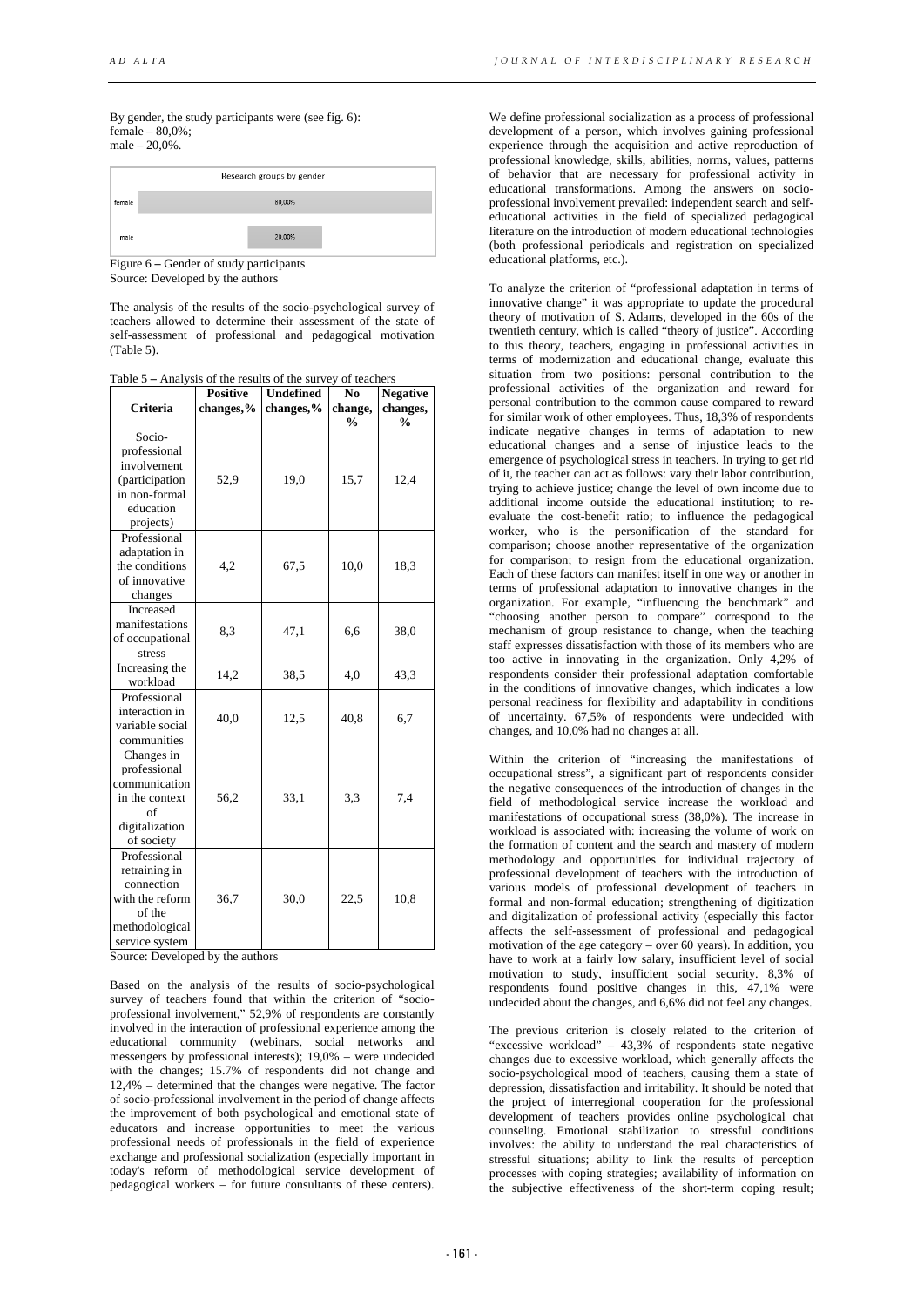By gender, the study participants were (see fig. 6):  $female = 80.0\%$ ; male – 20,0%.



Figure 6 **–** Gender of study participants Source: Developed by the authors

The analysis of the results of the socio-psychological survey of teachers allowed to determine their assessment of the state of self-assessment of professional and pedagogical motivation (Table 5).

Table 5 **–** Analysis of the results of the survey of teachers

| <b>Criteria</b>                                                                                              | <b>Positive</b><br>changes,% | <b>Undefined</b><br>changes,% | N <sub>0</sub><br>change,<br>% | <b>Negative</b><br>changes,<br>% |
|--------------------------------------------------------------------------------------------------------------|------------------------------|-------------------------------|--------------------------------|----------------------------------|
| Socio-<br>professional<br>involvement                                                                        |                              |                               |                                |                                  |
| (participation<br>in non-formal<br>education<br>projects)                                                    | 52,9                         | 19,0                          | 15,7                           | 12,4                             |
| Professional<br>adaptation in<br>the conditions<br>of innovative<br>changes                                  | 4,2                          | 67,5                          | 10,0                           | 18,3                             |
| Increased<br>manifestations<br>of occupational<br>stress                                                     | 8,3                          | 47,1                          | 6,6                            | 38,0                             |
| Increasing the<br>workload                                                                                   | 14,2                         | 38,5                          | 4,0                            | 43,3                             |
| Professional<br>interaction in<br>variable social<br>communities                                             | 40,0                         | 12,5                          | 40,8                           | 6,7                              |
| Changes in<br>professional<br>communication<br>in the context<br>of<br>digitalization<br>of society          | 56,2                         | 33,1                          | 3,3                            | 7,4                              |
| Professional<br>retraining in<br>connection<br>with the reform<br>of the<br>methodological<br>service system | 36,7                         | 30,0                          | 22,5                           | 10,8                             |

Source: Developed by the authors

Based on the analysis of the results of socio-psychological survey of teachers found that within the criterion of "socioprofessional involvement," 52,9% of respondents are constantly involved in the interaction of professional experience among the educational community (webinars, social networks and messengers by professional interests); 19,0% – were undecided with the changes; 15.7% of respondents did not change and 12,4% – determined that the changes were negative. The factor of socio-professional involvement in the period of change affects the improvement of both psychological and emotional state of educators and increase opportunities to meet the various professional needs of professionals in the field of experience exchange and professional socialization (especially important in today's reform of methodological service development of pedagogical workers – for future consultants of these centers).

We define professional socialization as a process of professional development of a person, which involves gaining professional experience through the acquisition and active reproduction of professional knowledge, skills, abilities, norms, values, patterns of behavior that are necessary for professional activity in educational transformations. Among the answers on socioprofessional involvement prevailed: independent search and selfeducational activities in the field of specialized pedagogical literature on the introduction of modern educational technologies (both professional periodicals and registration on specialized educational platforms, etc.).

To analyze the criterion of "professional adaptation in terms of innovative change" it was appropriate to update the procedural theory of motivation of S. Adams, developed in the 60s of the twentieth century, which is called "theory of justice". According to this theory, teachers, engaging in professional activities in terms of modernization and educational change, evaluate this situation from two positions: personal contribution to the professional activities of the organization and reward for personal contribution to the common cause compared to reward for similar work of other employees. Thus, 18,3% of respondents indicate negative changes in terms of adaptation to new educational changes and a sense of injustice leads to the emergence of psychological stress in teachers. In trying to get rid of it, the teacher can act as follows: vary their labor contribution, trying to achieve justice; change the level of own income due to additional income outside the educational institution; to reevaluate the cost-benefit ratio; to influence the pedagogical worker, who is the personification of the standard for comparison; choose another representative of the organization for comparison; to resign from the educational organization. Each of these factors can manifest itself in one way or another in terms of professional adaptation to innovative changes in the organization. For example, "influencing the benchmark" and "choosing another person to compare" correspond to the mechanism of group resistance to change, when the teaching staff expresses dissatisfaction with those of its members who are too active in innovating in the organization. Only 4,2% of respondents consider their professional adaptation comfortable in the conditions of innovative changes, which indicates a low personal readiness for flexibility and adaptability in conditions of uncertainty. 67,5% of respondents were undecided with changes, and 10,0% had no changes at all.

Within the criterion of "increasing the manifestations of occupational stress", a significant part of respondents consider the negative consequences of the introduction of changes in the field of methodological service increase the workload and manifestations of occupational stress (38,0%). The increase in workload is associated with: increasing the volume of work on the formation of content and the search and mastery of modern methodology and opportunities for individual trajectory of professional development of teachers with the introduction of various models of professional development of teachers in formal and non-formal education; strengthening of digitization and digitalization of professional activity (especially this factor affects the self-assessment of professional and pedagogical motivation of the age category – over 60 years). In addition, you have to work at a fairly low salary, insufficient level of social motivation to study, insufficient social security. 8,3% of respondents found positive changes in this, 47,1% were undecided about the changes, and 6,6% did not feel any changes.

The previous criterion is closely related to the criterion of "excessive workload" – 43,3% of respondents state negative changes due to excessive workload, which generally affects the socio-psychological mood of teachers, causing them a state of depression, dissatisfaction and irritability. It should be noted that the project of interregional cooperation for the professional development of teachers provides online psychological chat counseling. Emotional stabilization to stressful conditions involves: the ability to understand the real characteristics of stressful situations; ability to link the results of perception processes with coping strategies; availability of information on the subjective effectiveness of the short-term coping result;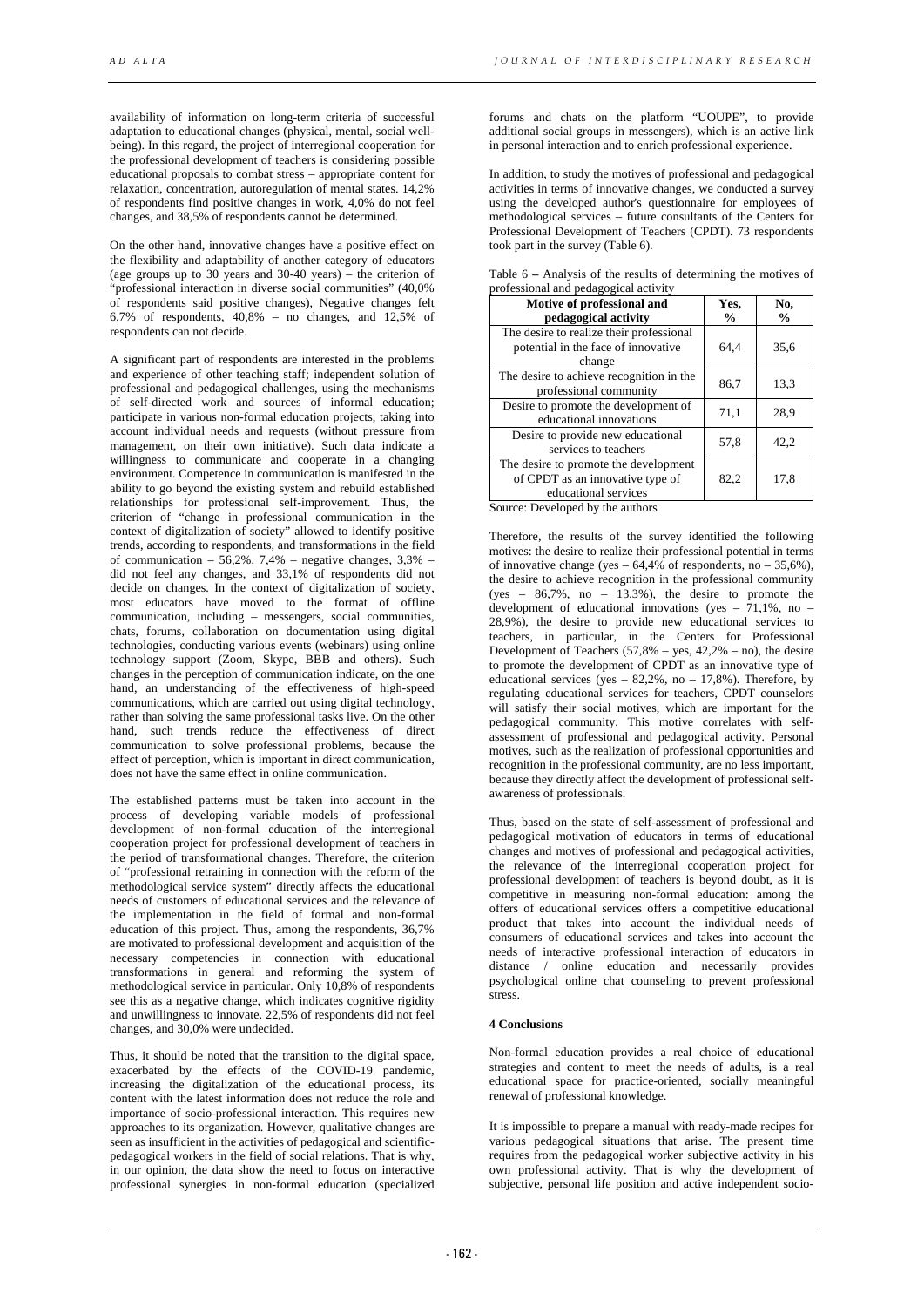availability of information on long-term criteria of successful adaptation to educational changes (physical, mental, social wellbeing). In this regard, the project of interregional cooperation for the professional development of teachers is considering possible educational proposals to combat stress – appropriate content for relaxation, concentration, autoregulation of mental states. 14,2% of respondents find positive changes in work, 4,0% do not feel changes, and 38,5% of respondents cannot be determined.

On the other hand, innovative changes have a positive effect on the flexibility and adaptability of another category of educators (age groups up to 30 years and 30-40 years) – the criterion of "professional interaction in diverse social communities" (40,0% of respondents said positive changes), Negative changes felt 6,7% of respondents, 40,8% – no changes, and 12,5% of respondents can not decide.

A significant part of respondents are interested in the problems and experience of other teaching staff; independent solution of professional and pedagogical challenges, using the mechanisms of self-directed work and sources of informal education; participate in various non-formal education projects, taking into account individual needs and requests (without pressure from management, on their own initiative). Such data indicate a willingness to communicate and cooperate in a changing environment. Competence in communication is manifested in the ability to go beyond the existing system and rebuild established relationships for professional self-improvement. Thus, the criterion of "change in professional communication in the context of digitalization of society" allowed to identify positive trends, according to respondents, and transformations in the field of communication –  $56,2\%$ , 7,4% – negative changes, 3,3% – did not feel any changes, and 33,1% of respondents did not decide on changes. In the context of digitalization of society, most educators have moved to the format of offline communication, including – messengers, social communities, chats, forums, collaboration on documentation using digital technologies, conducting various events (webinars) using online technology support (Zoom, Skype, BBB and others). Such changes in the perception of communication indicate, on the one hand, an understanding of the effectiveness of high-speed communications, which are carried out using digital technology, rather than solving the same professional tasks live. On the other hand, such trends reduce the effectiveness of direct communication to solve professional problems, because the effect of perception, which is important in direct communication, does not have the same effect in online communication.

The established patterns must be taken into account in the process of developing variable models of professional development of non-formal education of the interregional cooperation project for professional development of teachers in the period of transformational changes. Therefore, the criterion of "professional retraining in connection with the reform of the methodological service system" directly affects the educational needs of customers of educational services and the relevance of the implementation in the field of formal and non-formal education of this project. Thus, among the respondents, 36,7% are motivated to professional development and acquisition of the necessary competencies in connection with educational transformations in general and reforming the system of methodological service in particular. Only 10,8% of respondents see this as a negative change, which indicates cognitive rigidity and unwillingness to innovate. 22,5% of respondents did not feel changes, and 30,0% were undecided.

Thus, it should be noted that the transition to the digital space, exacerbated by the effects of the COVID-19 pandemic, increasing the digitalization of the educational process, its content with the latest information does not reduce the role and importance of socio-professional interaction. This requires new approaches to its organization. However, qualitative changes are seen as insufficient in the activities of pedagogical and scientificpedagogical workers in the field of social relations. That is why, in our opinion, the data show the need to focus on interactive professional synergies in non-formal education (specialized

forums and chats on the platform "UOUPE", to provide additional social groups in messengers), which is an active link in personal interaction and to enrich professional experience.

In addition, to study the motives of professional and pedagogical activities in terms of innovative changes, we conducted a survey using the developed author's questionnaire for employees of methodological services – future consultants of the Centers for Professional Development of Teachers (CPDT). 73 respondents took part in the survey (Table 6).

| Table 6 – Analysis of the results of determining the motives of |  |
|-----------------------------------------------------------------|--|
| professional and pedagogical activity                           |  |

| Motive of professional and                                                                        | Yes,          | No,           |
|---------------------------------------------------------------------------------------------------|---------------|---------------|
| pedagogical activity                                                                              | $\frac{6}{9}$ | $\frac{0}{0}$ |
| The desire to realize their professional<br>potential in the face of innovative<br>change         | 64.4          | 35,6          |
| The desire to achieve recognition in the<br>professional community                                | 86,7          | 13,3          |
| Desire to promote the development of<br>educational innovations                                   | 71,1          | 28,9          |
| Desire to provide new educational<br>services to teachers                                         | 57,8          | 42,2          |
| The desire to promote the development<br>of CPDT as an innovative type of<br>educational services | 82,2          | 17,8          |

Source: Developed by the authors

Therefore, the results of the survey identified the following motives: the desire to realize their professional potential in terms of innovative change (yes  $-64,4\%$  of respondents, no  $-35,6\%$ ), the desire to achieve recognition in the professional community  $(yes - 86,7\%, no - 13,3\%).$  the desire to promote the development of educational innovations (yes  $-71,1\%$ , no  $-$ 28,9%), the desire to provide new educational services to teachers, in particular, in the Centers for Professional Development of Teachers  $(57,8\% - \text{yes}, 42,2\% - \text{no})$ , the desire to promote the development of CPDT as an innovative type of educational services (yes  $-$  82,2%, no  $-$  17,8%). Therefore, by regulating educational services for teachers, CPDT counselors will satisfy their social motives, which are important for the pedagogical community. This motive correlates with selfassessment of professional and pedagogical activity. Personal motives, such as the realization of professional opportunities and recognition in the professional community, are no less important, because they directly affect the development of professional selfawareness of professionals.

Thus, based on the state of self-assessment of professional and pedagogical motivation of educators in terms of educational changes and motives of professional and pedagogical activities, the relevance of the interregional cooperation project for professional development of teachers is beyond doubt, as it is competitive in measuring non-formal education: among the offers of educational services offers a competitive educational product that takes into account the individual needs of consumers of educational services and takes into account the needs of interactive professional interaction of educators in distance / online education and necessarily provides psychological online chat counseling to prevent professional stress.

## **4 Conclusions**

Non-formal education provides a real choice of educational strategies and content to meet the needs of adults, is a real educational space for practice-oriented, socially meaningful renewal of professional knowledge.

It is impossible to prepare a manual with ready-made recipes for various pedagogical situations that arise. The present time requires from the pedagogical worker subjective activity in his own professional activity. That is why the development of subjective, personal life position and active independent socio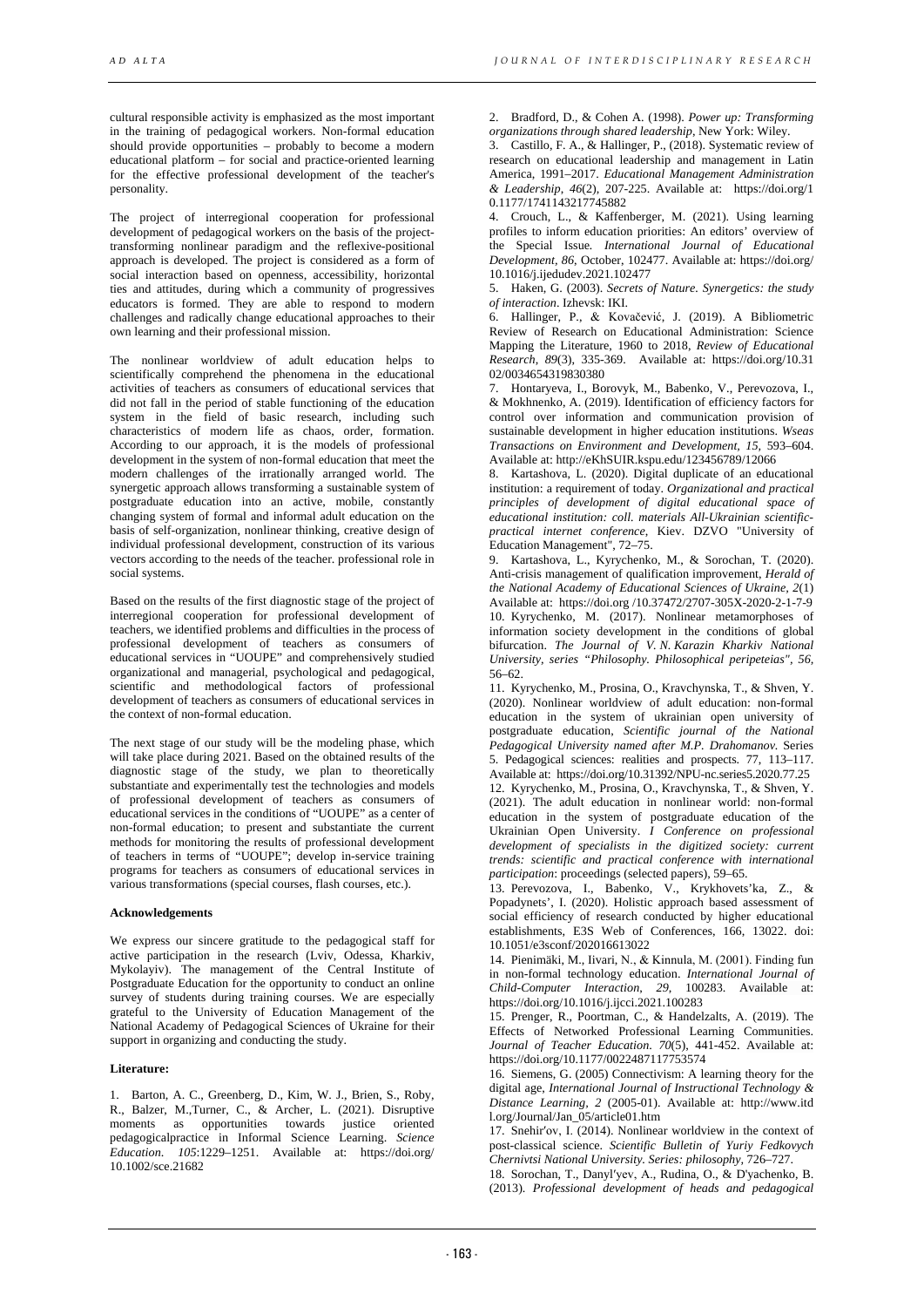cultural responsible activity is emphasized as the most important in the training of pedagogical workers. Non-formal education should provide opportunities – probably to become a modern educational platform – for social and practice-oriented learning for the effective professional development of the teacher's personality.

The project of interregional cooperation for professional development of pedagogical workers on the basis of the projecttransforming nonlinear paradigm and the reflexive-positional approach is developed. The project is considered as a form of social interaction based on openness, accessibility, horizontal ties and attitudes, during which a community of progressives educators is formed. They are able to respond to modern challenges and radically change educational approaches to their own learning and their professional mission.

The nonlinear worldview of adult education helps to scientifically comprehend the phenomena in the educational activities of teachers as consumers of educational services that did not fall in the period of stable functioning of the education system in the field of basic research, including such characteristics of modern life as chaos, order, formation. According to our approach, it is the models of professional development in the system of non-formal education that meet the modern challenges of the irrationally arranged world. The synergetic approach allows transforming a sustainable system of postgraduate education into an active, mobile, constantly changing system of formal and informal adult education on the basis of self-organization, nonlinear thinking, creative design of individual professional development, construction of its various vectors according to the needs of the teacher. professional role in social systems.

Based on the results of the first diagnostic stage of the project of interregional cooperation for professional development of teachers, we identified problems and difficulties in the process of professional development of teachers as consumers of educational services in "UOUPE" and comprehensively studied organizational and managerial, psychological and pedagogical, scientific and methodological factors of professional development of teachers as consumers of educational services in the context of non-formal education.

The next stage of our study will be the modeling phase, which will take place during 2021. Based on the obtained results of the diagnostic stage of the study, we plan to theoretically substantiate and experimentally test the technologies and models of professional development of teachers as consumers of educational services in the conditions of "UOUPE" as a center of non-formal education; to present and substantiate the current methods for monitoring the results of professional development of teachers in terms of "UOUPE"; develop in-service training programs for teachers as consumers of educational services in various transformations (special courses, flash courses, etc.).

#### **Acknowledgements**

We express our sincere gratitude to the pedagogical staff for active participation in the research (Lviv, Odessa, Kharkiv, Mykolayiv). The management of the Central Institute of Postgraduate Education for the opportunity to conduct an online survey of students during training courses. We are especially grateful to the University of Education Management of the National Academy of Pedagogical Sciences of Ukraine for their support in organizing and conducting the study.

## **Literature:**

1. Barton, A. C., Greenberg, D., Kim, W. J., Brien, S., Roby, R., Balzer, M.,Turner, C., & Archer, L. (2021). Disruptive moments as opportunities towards justice oriented pedagogicalpractice in Informal Science Learning. *Science Education*. *105*:1229–1251. Available at: https://doi.org/ 10.1002/sce.21682

2. Bradford, D., & Cohen A. (1998). *Power up: Transforming organizations through shared leadership*, New York: Wiley.

3. Castillo, F. A., & Hallinger, P., (2018). Systematic review of research on educational leadership and management in Latin America, 1991–2017. *Educational Management Administration & Leadership*, *46*(2), 207-225. Available at: https://doi.org/1 0.1177/1741143217745882

4. Crouch, L., & Kaffenberger, M. (2021). Using learning profiles to inform education priorities: An editors' overview of the Special Issue*. International Journal of Educational Development, 86*, October, 102477. Available at: https://doi.org/ [10.1016/j.ijedudev.2021.102477](https://doi.org/10.1016/j.ijedudev.2021.102477)

5. Haken, G. (2003). *Secrets of Nature. Synergetics: the study of interaction*. Izhevsk: IKI.

6. Hallinger, P., & Kovačević, J. (2019). A Bibliometric Review of Research on Educational Administration: Science Mapping the Literature, 1960 to 2018, *Review of Educational Research*, *89*(3), 335-369. Available at: https://doi.org/10.31 02/0034654319830380

7. Hontaryeva, I., Borovyk, M., Babenko, V., Perevozova, I., & Mokhnenko, A. (2019). Identification of efficiency factors for control over information and communication provision of sustainable development in higher education institutions. *Wseas Transactions on Environment and Development, 15,* 593–604. Available at[: http://eKhSUIR.kspu.edu/123456789/12066](http://ekhsuir.kspu.edu/123456789/12066)

8. Kartashova, L. (2020). Digital duplicate of an educational institution: a requirement of today. *Organizational and practical principles of development of digital educational space of educational institution: coll. materials All-Ukrainian scientificpractical internet conference*, Kiev. DZVO "University of Education Management", 72–75.

9. Kartashova, L., Kyrychenko, M., & Sorochan, T. (2020). Anti-crisis management of qualification improvement, *Herald of the National Academy of Educational Sciences of Ukraine, 2*(1) Available at: https://doi.org [/10.37472/2707-305X-2020-2-1-7-9](https://doi.org/10.37472/2707-305X-2020-2-1-7-9) 10. Kyrychenko, M. (2017). Nonlinear metamorphoses of information society development in the conditions of global bifurcation. *The Journal of V. N. Karazin Kharkiv National University, series "Philosophy. Philosophical peripeteias", 56,* 56–62.

11. Kyrychenko, M., Prosina, O., Kravchynska, T., & Shven, Y. (2020). Nonlinear worldview of adult education: non-formal education in the system of ukrainian open university of postgraduate education, *Scientific journal of the National Pedagogical University named after M.P. Drahomanov.* Series 5. Pedagogical sciences: realities and prospects. 77, 113–117. Available at: https://doi.org/10.31392/NPU-nc.series5.2020.77.25 12. Kyrychenko, M., Prosina, O., Kravchynska, T., & Shven, Y. (2021). The adult education in nonlinear world: non-formal education in the system of postgraduate education of the Ukrainian Open University. *I Conference on professional development of specialists in the digitized society: current trends: scientific and practical conference with international participation*: proceedings (selected papers), 59–65.

13. Perevozova, I., Babenko, V., Krykhovets'ka, Z., & Popadynets', I. (2020). Holistic approach based assessment of social efficiency of research conducted by higher educational establishments, E3S Web of Conferences, 166, 13022. doi: 10.1051/e3sconf/202016613022

14. Pienimäki, M., Iivari, N., & Kinnula, М. (2001). Finding fun in non-formal technology education. *International Journal of Child-Computer Interaction*, *29*, 100283. Available at: https://doi.org/10.1016/j.ijcci.2021.100283

15. Prenger, R., Poortman, C., & Handelzalts, А. (2019). The Effects of Networked Professional Learning Communities. *Journal of Teacher Education*. *70*(5), 441-452. Available at: https://doi.org/10.1177/0022487117753574

16. Siemens, G. (2005) Connectivism: A learning theory for the digital age, *International Journal of Instructional Technology & Distance Learning, 2* (2005-01). Available at: http://www.itd l.org/Journal/Jan\_05/article01.htm

17. Snehirʹov, I. (2014). Nonlinear worldview in the context of post-classical science. *Scientific Bulletin of Yuriy Fedkovych Chernivtsi National University. Series: philosophy,* 726–727.

18. Sorochan, T., Danylʹyev, A., Rudina, O., & D'yachenko, B. (2013). *Professional development of heads and pedagogical*